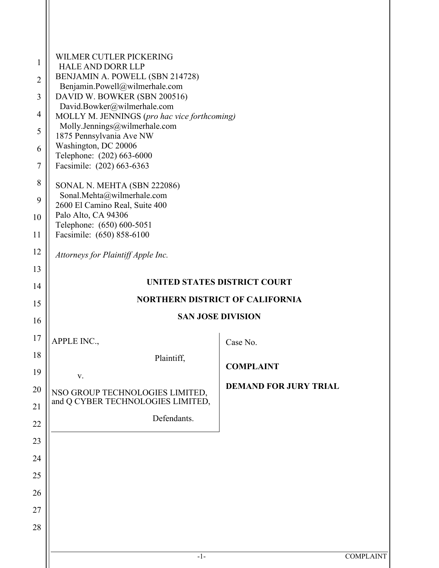| $\mathbf{1}$<br>$\overline{2}$<br>3<br>$\overline{4}$<br>5<br>6<br>$\overline{7}$ | WILMER CUTLER PICKERING<br><b>HALE AND DORR LLP</b><br>BENJAMIN A. POWELL (SBN 214728)<br>Benjamin.Powell@wilmerhale.com<br>DAVID W. BOWKER (SBN 200516)<br>David.Bowker@wilmerhale.com<br>MOLLY M. JENNINGS (pro hac vice forthcoming)<br>Molly.Jennings@wilmerhale.com<br>1875 Pennsylvania Ave NW<br>Washington, DC 20006<br>Telephone: (202) 663-6000<br>Facsimile: (202) 663-6363 |                              |  |  |
|-----------------------------------------------------------------------------------|----------------------------------------------------------------------------------------------------------------------------------------------------------------------------------------------------------------------------------------------------------------------------------------------------------------------------------------------------------------------------------------|------------------------------|--|--|
| 8<br>9<br>10<br>11                                                                | SONAL N. MEHTA (SBN 222086)<br>Sonal.Mehta@wilmerhale.com<br>2600 El Camino Real, Suite 400<br>Palo Alto, CA 94306<br>Telephone: (650) 600-5051<br>Facsimile: (650) 858-6100                                                                                                                                                                                                           |                              |  |  |
| 12                                                                                | Attorneys for Plaintiff Apple Inc.                                                                                                                                                                                                                                                                                                                                                     |                              |  |  |
| 13                                                                                |                                                                                                                                                                                                                                                                                                                                                                                        |                              |  |  |
| 14                                                                                | UNITED STATES DISTRICT COURT                                                                                                                                                                                                                                                                                                                                                           |                              |  |  |
| 15                                                                                | <b>NORTHERN DISTRICT OF CALIFORNIA</b>                                                                                                                                                                                                                                                                                                                                                 |                              |  |  |
| 16                                                                                |                                                                                                                                                                                                                                                                                                                                                                                        | <b>SAN JOSE DIVISION</b>     |  |  |
| 17                                                                                | <b>APPLE INC.,</b>                                                                                                                                                                                                                                                                                                                                                                     | Case No.                     |  |  |
| 18                                                                                | Plaintiff,                                                                                                                                                                                                                                                                                                                                                                             |                              |  |  |
| 19                                                                                | V.                                                                                                                                                                                                                                                                                                                                                                                     | <b>COMPLAINT</b>             |  |  |
| 20                                                                                | NSO GROUP TECHNOLOGIES LIMITED,                                                                                                                                                                                                                                                                                                                                                        | <b>DEMAND FOR JURY TRIAL</b> |  |  |
| 21                                                                                | and Q CYBER TECHNOLOGIES LIMITED,                                                                                                                                                                                                                                                                                                                                                      |                              |  |  |
| 22                                                                                | Defendants.                                                                                                                                                                                                                                                                                                                                                                            |                              |  |  |
| 23                                                                                |                                                                                                                                                                                                                                                                                                                                                                                        |                              |  |  |
| 24                                                                                |                                                                                                                                                                                                                                                                                                                                                                                        |                              |  |  |
| 25                                                                                |                                                                                                                                                                                                                                                                                                                                                                                        |                              |  |  |
| 26                                                                                |                                                                                                                                                                                                                                                                                                                                                                                        |                              |  |  |
| 27                                                                                |                                                                                                                                                                                                                                                                                                                                                                                        |                              |  |  |
| 28                                                                                |                                                                                                                                                                                                                                                                                                                                                                                        |                              |  |  |
|                                                                                   |                                                                                                                                                                                                                                                                                                                                                                                        |                              |  |  |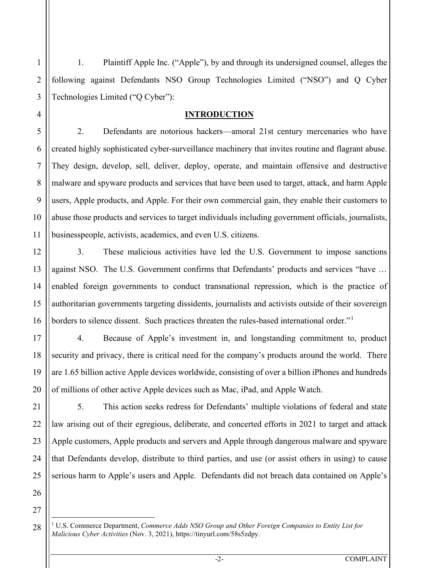1. Plaintiff Apple Inc. ("Apple"), by and through its undersigned counsel, alleges the following against Defendants NSO Group Technologies Limited ("NSO") and Q Cyber Technologies Limited ("Q Cyber"):

# **INTRODUCTION**

2. Defendants are notorious hackers—amoral 21st century mercenaries who have created highly sophisticated cyber-surveillance machinery that invites routine and flagrant abuse. They design, develop, sell, deliver, deploy, operate, and maintain offensive and destructive malware and spyware products and services that have been used to target, attack, and harm Apple users, Apple products, and Apple. For their own commercial gain, they enable their customers to abuse those products and services to target individuals including government officials, journalists, businesspeople, activists, academics, and even U.S. citizens.

3. These malicious activities have led the U.S. Government to impose sanctions against NSO. The U.S. Government confirms that Defendants' products and services "have … enabled foreign governments to conduct transnational repression, which is the practice of authoritarian governments targeting dissidents, journalists and activists outside of their sovereign borders to silence dissent. Such practices threaten the rules-based international order."<sup>[1](#page-1-0)</sup>

4. Because of Apple's investment in, and longstanding commitment to, product security and privacy, there is critical need for the company's products around the world. There are 1.65 billion active Apple devices worldwide, consisting of over a billion iPhones and hundreds of millions of other active Apple devices such as Mac, iPad, and Apple Watch.

5. This action seeks redress for Defendants' multiple violations of federal and state law arising out of their egregious, deliberate, and concerted efforts in 2021 to target and attack Apple customers, Apple products and servers and Apple through dangerous malware and spyware that Defendants develop, distribute to third parties, and use (or assist others in using) to cause serious harm to Apple's users and Apple. Defendants did not breach data contained on Apple's

1

2

3

4

5

6

7

8

9

10

11

12

13

14

15

16

17

18

19

20

21

22

23

24

25

26

<span id="page-1-0"></span><sup>27</sup>

<sup>1</sup> U.S. Commerce Department, *Commerce Adds NSO Group and Other Foreign Companies to Entity List for Malicious Cyber Activities* (Nov. 3, 2021), https://tinyurl.com/58s5zdpy.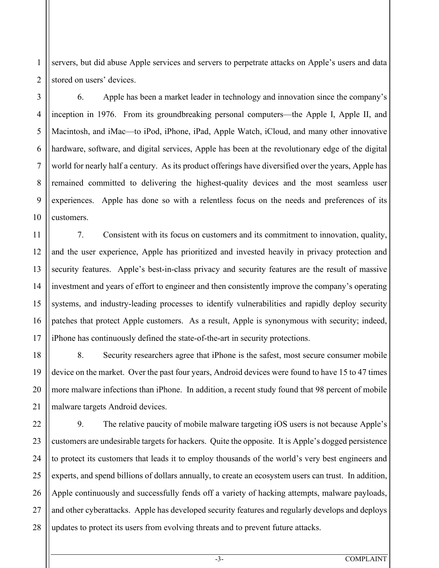servers, but did abuse Apple services and servers to perpetrate attacks on Apple's users and data stored on users' devices.

6. Apple has been a market leader in technology and innovation since the company's inception in 1976. From its groundbreaking personal computers—the Apple I, Apple II, and Macintosh, and iMac—to iPod, iPhone, iPad, Apple Watch, iCloud, and many other innovative hardware, software, and digital services, Apple has been at the revolutionary edge of the digital world for nearly half a century. As its product offerings have diversified over the years, Apple has remained committed to delivering the highest-quality devices and the most seamless user experiences. Apple has done so with a relentless focus on the needs and preferences of its customers.

7. Consistent with its focus on customers and its commitment to innovation, quality, and the user experience, Apple has prioritized and invested heavily in privacy protection and security features. Apple's best-in-class privacy and security features are the result of massive investment and years of effort to engineer and then consistently improve the company's operating systems, and industry-leading processes to identify vulnerabilities and rapidly deploy security patches that protect Apple customers. As a result, Apple is synonymous with security; indeed, iPhone has continuously defined the state-of-the-art in security protections.

8. Security researchers agree that iPhone is the safest, most secure consumer mobile device on the market. Over the past four years, Android devices were found to have 15 to 47 times more malware infections than iPhone. In addition, a recent study found that 98 percent of mobile malware targets Android devices.

9. The relative paucity of mobile malware targeting iOS users is not because Apple's customers are undesirable targets for hackers. Quite the opposite. It is Apple's dogged persistence to protect its customers that leads it to employ thousands of the world's very best engineers and experts, and spend billions of dollars annually, to create an ecosystem users can trust. In addition, Apple continuously and successfully fends off a variety of hacking attempts, malware payloads, and other cyberattacks. Apple has developed security features and regularly develops and deploys updates to protect its users from evolving threats and to prevent future attacks.

1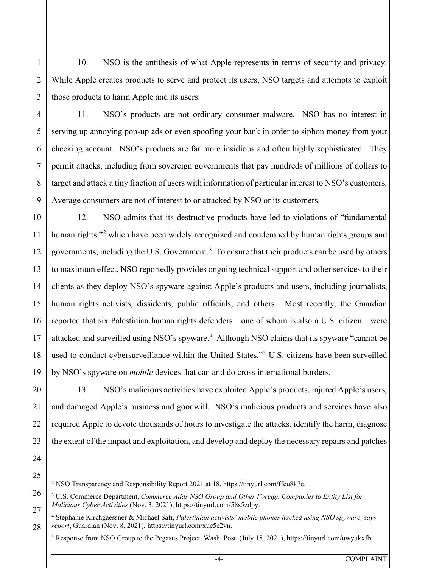10. NSO is the antithesis of what Apple represents in terms of security and privacy. While Apple creates products to serve and protect its users, NSO targets and attempts to exploit those products to harm Apple and its users.

11. NSO's products are not ordinary consumer malware. NSO has no interest in serving up annoying pop-up ads or even spoofing your bank in order to siphon money from your checking account. NSO's products are far more insidious and often highly sophisticated. They permit attacks, including from sovereign governments that pay hundreds of millions of dollars to target and attack a tiny fraction of users with information of particular interest to NSO's customers. Average consumers are not of interest to or attacked by NSO or its customers.

12. NSO admits that its destructive products have led to violations of "fundamental human rights,"<sup>[2](#page-3-0)</sup> which have been widely recognized and condemned by human rights groups and governments, including the U.S. Government.<sup>[3](#page-3-1)</sup> To ensure that their products can be used by others to maximum effect, NSO reportedly provides ongoing technical support and other services to their clients as they deploy NSO's spyware against Apple's products and users, including journalists, human rights activists, dissidents, public officials, and others. Most recently, the Guardian reported that six Palestinian human rights defenders—one of whom is also a U.S. citizen—were attacked and surveilled using NSO's spyware.<sup>[4](#page-3-2)</sup> Although NSO claims that its spyware "cannot be used to conduct cybersurveillance within the United States,"<sup>[5](#page-3-3)</sup> U.S. citizens have been surveilled by NSO's spyware on *mobile* devices that can and do cross international borders.

13. NSO's malicious activities have exploited Apple's products, injured Apple's users, and damaged Apple's business and goodwill. NSO's malicious products and services have also required Apple to devote thousands of hours to investigate the attacks, identify the harm, diagnose the extent of the impact and exploitation, and develop and deploy the necessary repairs and patches

1

2

3

4

<span id="page-3-0"></span><sup>2</sup> NSO Transparency and Responsibility Report 2021 at 18, https://tinyurl.com/ffeu8k7e.

<span id="page-3-1"></span><sup>3</sup> U.S. Commerce Department, *Commerce Adds NSO Group and Other Foreign Companies to Entity List for Malicious Cyber Activities* (Nov. 3, 2021), https://tinyurl.com/58s5zdpy.

<span id="page-3-3"></span><span id="page-3-2"></span><sup>4</sup> Stephanie Kirchgaessner & Michael Safi, *Palestinian activists' mobile phones hacked using NSO spyware, says report*, Guardian (Nov. 8, 2021), https://tinyurl.com/xue5c2vn.

<sup>5</sup> Response from NSO Group to the Pegasus Project, Wash. Post. (July 18, 2021), https://tinyurl.com/uwyukxfb.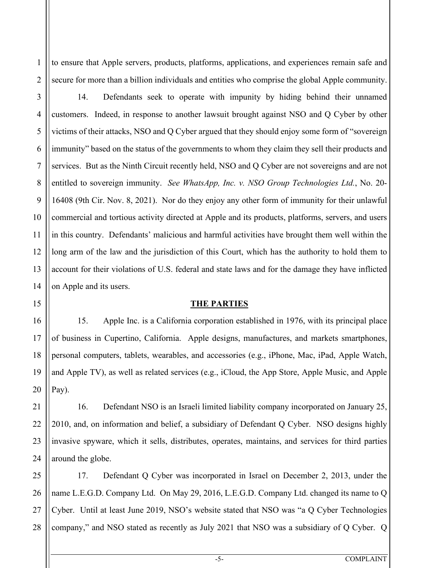to ensure that Apple servers, products, platforms, applications, and experiences remain safe and secure for more than a billion individuals and entities who comprise the global Apple community.

14. Defendants seek to operate with impunity by hiding behind their unnamed customers. Indeed, in response to another lawsuit brought against NSO and Q Cyber by other victims of their attacks, NSO and Q Cyber argued that they should enjoy some form of "sovereign immunity" based on the status of the governments to whom they claim they sell their products and services. But as the Ninth Circuit recently held, NSO and Q Cyber are not sovereigns and are not entitled to sovereign immunity. *See WhatsApp, Inc. v. NSO Group Technologies Ltd.*, No. 20- 16408 (9th Cir. Nov. 8, 2021). Nor do they enjoy any other form of immunity for their unlawful commercial and tortious activity directed at Apple and its products, platforms, servers, and users in this country. Defendants' malicious and harmful activities have brought them well within the long arm of the law and the jurisdiction of this Court, which has the authority to hold them to account for their violations of U.S. federal and state laws and for the damage they have inflicted on Apple and its users.

#### **THE PARTIES**

15. Apple Inc. is a California corporation established in 1976, with its principal place of business in Cupertino, California. Apple designs, manufactures, and markets smartphones, personal computers, tablets, wearables, and accessories (e.g., iPhone, Mac, iPad, Apple Watch, and Apple TV), as well as related services (e.g., iCloud, the App Store, Apple Music, and Apple Pay).

16. Defendant NSO is an Israeli limited liability company incorporated on January 25, 2010, and, on information and belief, a subsidiary of Defendant Q Cyber. NSO designs highly invasive spyware, which it sells, distributes, operates, maintains, and services for third parties around the globe.

17. Defendant Q Cyber was incorporated in Israel on December 2, 2013, under the name L.E.G.D. Company Ltd. On May 29, 2016, L.E.G.D. Company Ltd. changed its name to Q Cyber. Until at least June 2019, NSO's website stated that NSO was "a Q Cyber Technologies company," and NSO stated as recently as July 2021 that NSO was a subsidiary of Q Cyber. Q

1

2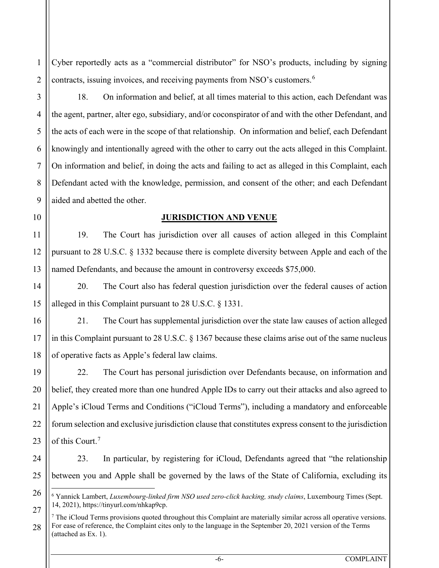Cyber reportedly acts as a "commercial distributor" for NSO's products, including by signing contracts, issuing invoices, and receiving payments from NSO's customers. [6](#page-5-0)

18. On information and belief, at all times material to this action, each Defendant was the agent, partner, alter ego, subsidiary, and/or coconspirator of and with the other Defendant, and the acts of each were in the scope of that relationship. On information and belief, each Defendant knowingly and intentionally agreed with the other to carry out the acts alleged in this Complaint. On information and belief, in doing the acts and failing to act as alleged in this Complaint, each Defendant acted with the knowledge, permission, and consent of the other; and each Defendant aided and abetted the other.

1

2

3

4

5

6

7

8

9

10

11

12

13

14

15

16

17

18

19

20

21

22

23

24

25

<span id="page-5-0"></span>26

# **JURISDICTION AND VENUE**

19. The Court has jurisdiction over all causes of action alleged in this Complaint pursuant to 28 U.S.C. § 1332 because there is complete diversity between Apple and each of the named Defendants, and because the amount in controversy exceeds \$75,000.

20. The Court also has federal question jurisdiction over the federal causes of action alleged in this Complaint pursuant to 28 U.S.C. § 1331.

21. The Court has supplemental jurisdiction over the state law causes of action alleged in this Complaint pursuant to 28 U.S.C. § 1367 because these claims arise out of the same nucleus of operative facts as Apple's federal law claims.

22. The Court has personal jurisdiction over Defendants because, on information and belief, they created more than one hundred Apple IDs to carry out their attacks and also agreed to Apple's iCloud Terms and Conditions ("iCloud Terms"), including a mandatory and enforceable forum selection and exclusive jurisdiction clause that constitutes express consent to the jurisdiction of this Court.<sup>[7](#page-5-1)</sup>

23. In particular, by registering for iCloud, Defendants agreed that "the relationship between you and Apple shall be governed by the laws of the State of California, excluding its

<sup>6</sup> Yannick Lambert, *Luxembourg-linked firm NSO used zero-click hacking, study claims*, Luxembourg Times (Sept. 14, 2021), https://tinyurl.com/nhkap9cp.

<span id="page-5-1"></span><sup>27</sup> 28  $7$  The iCloud Terms provisions quoted throughout this Complaint are materially similar across all operative versions. For ease of reference, the Complaint cites only to the language in the September 20, 2021 version of the Terms (attached as Ex. 1).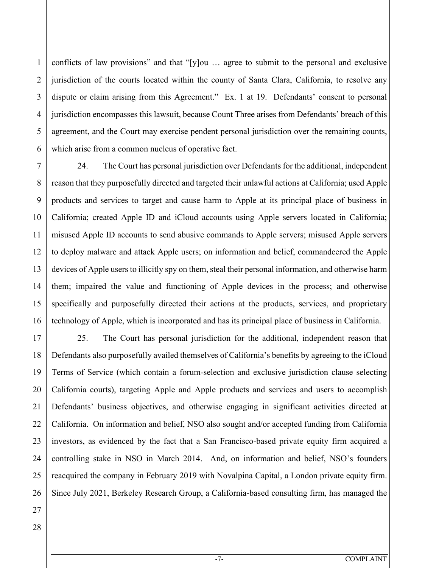2 3 4 5 6 conflicts of law provisions" and that "[y]ou … agree to submit to the personal and exclusive jurisdiction of the courts located within the county of Santa Clara, California, to resolve any dispute or claim arising from this Agreement." Ex. 1 at 19. Defendants' consent to personal jurisdiction encompasses this lawsuit, because Count Three arises from Defendants' breach of this agreement, and the Court may exercise pendent personal jurisdiction over the remaining counts, which arise from a common nucleus of operative fact.

7 24. The Court has personal jurisdiction over Defendants for the additional, independent reason that they purposefully directed and targeted their unlawful actions at California; used Apple products and services to target and cause harm to Apple at its principal place of business in California; created Apple ID and iCloud accounts using Apple servers located in California; misused Apple ID accounts to send abusive commands to Apple servers; misused Apple servers to deploy malware and attack Apple users; on information and belief, commandeered the Apple devices of Apple users to illicitly spy on them, steal their personal information, and otherwise harm them; impaired the value and functioning of Apple devices in the process; and otherwise specifically and purposefully directed their actions at the products, services, and proprietary technology of Apple, which is incorporated and has its principal place of business in California.

25. The Court has personal jurisdiction for the additional, independent reason that Defendants also purposefully availed themselves of California's benefits by agreeing to the iCloud Terms of Service (which contain a forum-selection and exclusive jurisdiction clause selecting California courts), targeting Apple and Apple products and services and users to accomplish Defendants' business objectives, and otherwise engaging in significant activities directed at California. On information and belief, NSO also sought and/or accepted funding from California investors, as evidenced by the fact that a San Francisco-based private equity firm acquired a controlling stake in NSO in March 2014. And, on information and belief, NSO's founders reacquired the company in February 2019 with Novalpina Capital, a London private equity firm. Since July 2021, Berkeley Research Group, a California-based consulting firm, has managed the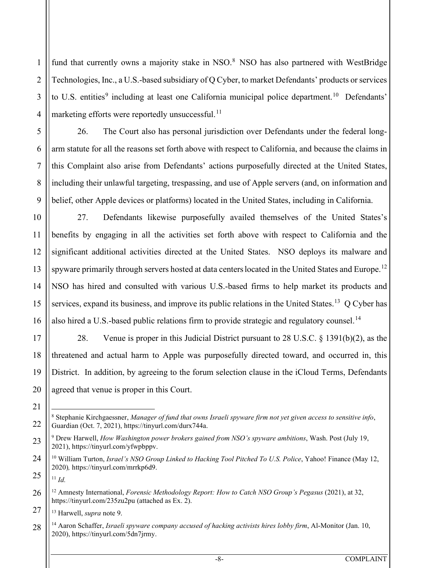fund that currently owns a majority stake in NSO.<sup>[8](#page-7-0)</sup> NSO has also partnered with WestBridge Technologies, Inc., a U.S.-based subsidiary of Q Cyber, to market Defendants' products or services to U.S. entities<sup>[9](#page-7-1)</sup> including at least one California municipal police department.<sup>[10](#page-7-2)</sup> Defendants' marketing efforts were reportedly unsuccessful. $^{11}$ 

26. The Court also has personal jurisdiction over Defendants under the federal longarm statute for all the reasons set forth above with respect to California, and because the claims in this Complaint also arise from Defendants' actions purposefully directed at the United States, including their unlawful targeting, trespassing, and use of Apple servers (and, on information and belief, other Apple devices or platforms) located in the United States, including in California.

27. Defendants likewise purposefully availed themselves of the United States's benefits by engaging in all the activities set forth above with respect to California and the significant additional activities directed at the United States. NSO deploys its malware and spyware primarily through servers hosted at data centers located in the United States and Europe.<sup>[12](#page-7-4)</sup> NSO has hired and consulted with various U.S.-based firms to help market its products and services, expand its business, and improve its public relations in the United States.<sup>[13](#page-7-5)</sup> Q Cyber has also hired a U.S.-based public relations firm to provide strategic and regulatory counsel.<sup>[14](#page-7-6)</sup>

28. Venue is proper in this Judicial District pursuant to 28 U.S.C. § 1391(b)(2), as the threatened and actual harm to Apple was purposefully directed toward, and occurred in, this District. In addition, by agreeing to the forum selection clause in the iCloud Terms, Defendants agreed that venue is proper in this Court.

1

2

3

4

5

6

7

8

9

10

11

12

13

14

15

16

17

18

19

20

21

<span id="page-7-0"></span>22

<span id="page-7-1"></span>23

<span id="page-7-4"></span>26

<sup>8</sup> Stephanie Kirchgaessner, *Manager of fund that owns Israeli spyware firm not yet given access to sensitive info*, Guardian (Oct. 7, 2021), https://tinyurl.com/durx744a.

<sup>9</sup> Drew Harwell, *How Washington power brokers gained from NSO's spyware ambitions*, Wash. Post (July 19, 2021), https://tinyurl.com/yfwpbppv.

<span id="page-7-2"></span><sup>24</sup> <sup>10</sup> William Turton, *Israel's NSO Group Linked to Hacking Tool Pitched To U.S. Police*, Yahoo! Finance (May 12, 2020)*,* https://tinyurl.com/mrrkp6d9.

<span id="page-7-3"></span><sup>25</sup> <sup>11</sup> *Id.*

<sup>12</sup> Amnesty International, *Forensic Methodology Report: How to Catch NSO Group's Pegasus* (2021), at 32, https://tinyurl.com/235zu2pu (attached as Ex. 2).

<sup>13</sup> Harwell, *supra* note 9.

<span id="page-7-6"></span><span id="page-7-5"></span><sup>28</sup> <sup>14</sup> Aaron Schaffer, *Israeli spyware company accused of hacking activists hires lobby firm*, Al-Monitor (Jan. 10, 2020), https://tinyurl.com/5dn7jrmy.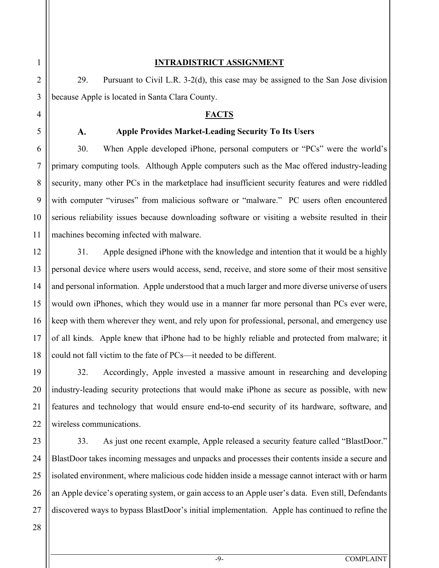1 2 3

4

5

 $\mathbf{A}$ .

6

7

8

9

10

11

12

13

14

15

16

17

18

19

20

21

22

23

24

25

# **INTRADISTRICT ASSIGNMENT**

29. Pursuant to Civil L.R. 3-2(d), this case may be assigned to the San Jose division because Apple is located in Santa Clara County.

# **FACTS**

# **Apple Provides Market-Leading Security To Its Users**

30. When Apple developed iPhone, personal computers or "PCs" were the world's primary computing tools. Although Apple computers such as the Mac offered industry-leading security, many other PCs in the marketplace had insufficient security features and were riddled with computer "viruses" from malicious software or "malware." PC users often encountered serious reliability issues because downloading software or visiting a website resulted in their machines becoming infected with malware.

31. Apple designed iPhone with the knowledge and intention that it would be a highly personal device where users would access, send, receive, and store some of their most sensitive and personal information. Apple understood that a much larger and more diverse universe of users would own iPhones, which they would use in a manner far more personal than PCs ever were, keep with them wherever they went, and rely upon for professional, personal, and emergency use of all kinds. Apple knew that iPhone had to be highly reliable and protected from malware; it could not fall victim to the fate of PCs—it needed to be different.

32. Accordingly, Apple invested a massive amount in researching and developing industry-leading security protections that would make iPhone as secure as possible, with new features and technology that would ensure end-to-end security of its hardware, software, and wireless communications.

33. As just one recent example, Apple released a security feature called "BlastDoor." BlastDoor takes incoming messages and unpacks and processes their contents inside a secure and isolated environment, where malicious code hidden inside a message cannot interact with or harm an Apple device's operating system, or gain access to an Apple user's data. Even still, Defendants discovered ways to bypass BlastDoor's initial implementation. Apple has continued to refine the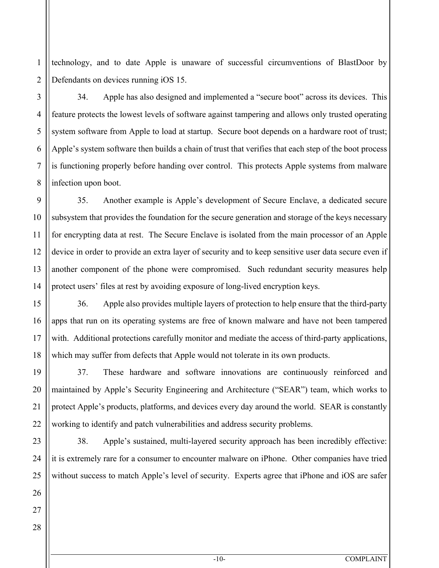1 2 technology, and to date Apple is unaware of successful circumventions of BlastDoor by Defendants on devices running iOS 15.

34. Apple has also designed and implemented a "secure boot" across its devices. This feature protects the lowest levels of software against tampering and allows only trusted operating system software from Apple to load at startup. Secure boot depends on a hardware root of trust; Apple's system software then builds a chain of trust that verifies that each step of the boot process is functioning properly before handing over control. This protects Apple systems from malware infection upon boot.

35. Another example is Apple's development of Secure Enclave, a dedicated secure subsystem that provides the foundation for the secure generation and storage of the keys necessary for encrypting data at rest. The Secure Enclave is isolated from the main processor of an Apple device in order to provide an extra layer of security and to keep sensitive user data secure even if another component of the phone were compromised. Such redundant security measures help protect users' files at rest by avoiding exposure of long-lived encryption keys.

36. Apple also provides multiple layers of protection to help ensure that the third-party apps that run on its operating systems are free of known malware and have not been tampered with. Additional protections carefully monitor and mediate the access of third-party applications, which may suffer from defects that Apple would not tolerate in its own products.

37. These hardware and software innovations are continuously reinforced and maintained by Apple's Security Engineering and Architecture ("SEAR") team, which works to protect Apple's products, platforms, and devices every day around the world. SEAR is constantly working to identify and patch vulnerabilities and address security problems.

38. Apple's sustained, multi-layered security approach has been incredibly effective: it is extremely rare for a consumer to encounter malware on iPhone. Other companies have tried without success to match Apple's level of security. Experts agree that iPhone and iOS are safer

3

4

5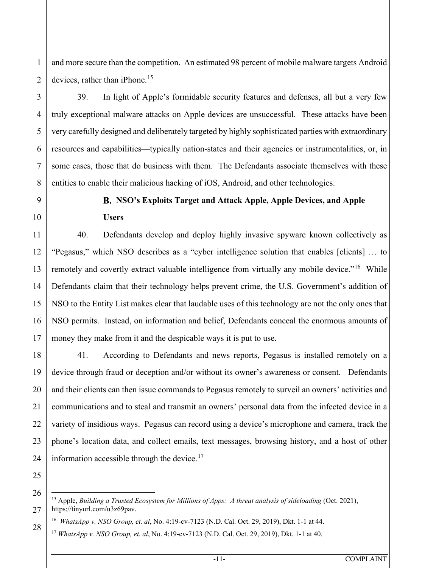2 and more secure than the competition. An estimated 98 percent of mobile malware targets Android devices, rather than iPhone.<sup>[15](#page-10-0)</sup>

39. In light of Apple's formidable security features and defenses, all but a very few truly exceptional malware attacks on Apple devices are unsuccessful. These attacks have been very carefully designed and deliberately targeted by highly sophisticated parties with extraordinary resources and capabilities—typically nation-states and their agencies or instrumentalities, or, in some cases, those that do business with them. The Defendants associate themselves with these entities to enable their malicious hacking of iOS, Android, and other technologies.

1

3

4

5

6

7

8

9

10

11

12

13

14

15

16

17

18

19

20

21

22

23

24

25

# **NSO's Exploits Target and Attack Apple, Apple Devices, and Apple Users**

40. Defendants develop and deploy highly invasive spyware known collectively as "Pegasus," which NSO describes as a "cyber intelligence solution that enables [clients] … to remotely and covertly extract valuable intelligence from virtually any mobile device."<sup>16</sup> While Defendants claim that their technology helps prevent crime, the U.S. Government's addition of NSO to the Entity List makes clear that laudable uses of this technology are not the only ones that NSO permits. Instead, on information and belief, Defendants conceal the enormous amounts of money they make from it and the despicable ways it is put to use.

41. According to Defendants and news reports, Pegasus is installed remotely on a device through fraud or deception and/or without its owner's awareness or consent. Defendants and their clients can then issue commands to Pegasus remotely to surveil an owners' activities and communications and to steal and transmit an owners' personal data from the infected device in a variety of insidious ways. Pegasus can record using a device's microphone and camera, track the phone's location data, and collect emails, text messages, browsing history, and a host of other information accessible through the device. $17$ 

26

<span id="page-10-2"></span><span id="page-10-1"></span><span id="page-10-0"></span>27

<sup>15</sup> Apple, *Building a Trusted Ecosystem for Millions of Apps: A threat analysis of sideloading* (Oct. 2021), https://tinyurl.com/u3z69pav.

<sup>16</sup> *WhatsApp v. NSO Group, et. al*, No. 4:19-cv-7123 (N.D. Cal. Oct. 29, 2019), Dkt. 1-1 at 44. <sup>17</sup> *WhatsApp v. NSO Group, et. al*, No. 4:19-cv-7123 (N.D. Cal. Oct. 29, 2019), Dkt. 1-1 at 40.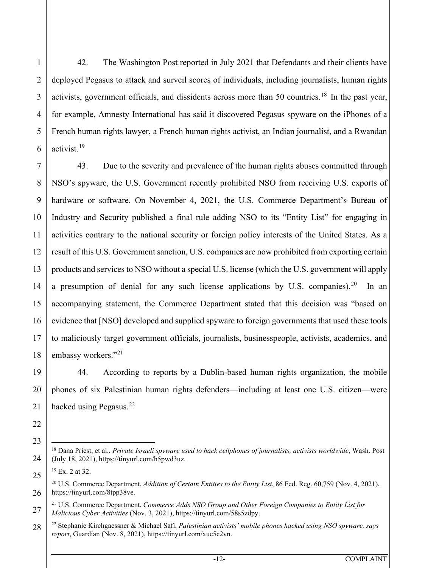42. The Washington Post reported in July 2021 that Defendants and their clients have deployed Pegasus to attack and surveil scores of individuals, including journalists, human rights activists, government officials, and dissidents across more than 50 countries.<sup>[18](#page-11-0)</sup> In the past year, for example, Amnesty International has said it discovered Pegasus spyware on the iPhones of a French human rights lawyer, a French human rights activist, an Indian journalist, and a Rwandan activist. [19](#page-11-1)

43. Due to the severity and prevalence of the human rights abuses committed through NSO's spyware, the U.S. Government recently prohibited NSO from receiving U.S. exports of hardware or software. On November 4, 2021, the U.S. Commerce Department's Bureau of Industry and Security published a final rule adding NSO to its "Entity List" for engaging in activities contrary to the national security or foreign policy interests of the United States. As a result of this U.S. Government sanction, U.S. companies are now prohibited from exporting certain products and services to NSO without a special U.S. license (which the U.S. government will apply a presumption of denial for any such license applications by U.S. companies).<sup>[20](#page-11-2)</sup> In an accompanying statement, the Commerce Department stated that this decision was "based on evidence that [NSO] developed and supplied spyware to foreign governments that used these tools to maliciously target government officials, journalists, businesspeople, activists, academics, and embassy workers."<sup>[21](#page-11-3)</sup>

44. According to reports by a Dublin-based human rights organization, the mobile phones of six Palestinian human rights defenders—including at least one U.S. citizen—were hacked using Pegasus. $^{22}$  $^{22}$  $^{22}$ 

<span id="page-11-0"></span><sup>18</sup> Dana Priest, et al., *Private Israeli spyware used to hack cellphones of journalists, activists worldwide*, Wash. Post (July 18, 2021), https://tinyurl.com/h5pwd3uz.

 $19$  Ex. 2 at 32.

<span id="page-11-2"></span><span id="page-11-1"></span><sup>20</sup> U.S. Commerce Department, *Addition of Certain Entities to the Entity List*, 86 Fed. Reg. 60,759 (Nov. 4, 2021), https://tinyurl.com/8tpp38ve.

<sup>21</sup> U.S. Commerce Department, *Commerce Adds NSO Group and Other Foreign Companies to Entity List for Malicious Cyber Activities* (Nov. 3, 2021), https://tinyurl.com/58s5zdpy.

<span id="page-11-4"></span><span id="page-11-3"></span><sup>22</sup> Stephanie Kirchgaessner & Michael Safi, *Palestinian activists' mobile phones hacked using NSO spyware, says report*, Guardian (Nov. 8, 2021), https://tinyurl.com/xue5c2vn.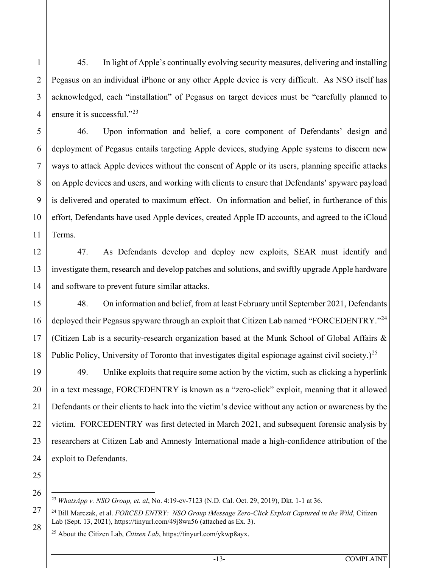45. In light of Apple's continually evolving security measures, delivering and installing Pegasus on an individual iPhone or any other Apple device is very difficult. As NSO itself has acknowledged, each "installation" of Pegasus on target devices must be "carefully planned to ensure it is successful."<sup>[23](#page-12-0)</sup>

46. Upon information and belief, a core component of Defendants' design and deployment of Pegasus entails targeting Apple devices, studying Apple systems to discern new ways to attack Apple devices without the consent of Apple or its users, planning specific attacks on Apple devices and users, and working with clients to ensure that Defendants' spyware payload is delivered and operated to maximum effect. On information and belief, in furtherance of this effort, Defendants have used Apple devices, created Apple ID accounts, and agreed to the iCloud Terms.

47. As Defendants develop and deploy new exploits, SEAR must identify and investigate them, research and develop patches and solutions, and swiftly upgrade Apple hardware and software to prevent future similar attacks.

48. On information and belief, from at least February until September 2021, Defendants deployed their Pegasus spyware through an exploit that Citizen Lab named "FORCEDENTRY."<sup>[24](#page-12-1)</sup> (Citizen Lab is a security-research organization based at the Munk School of Global Affairs & Public Policy, University of Toronto that investigates digital espionage against civil society.)<sup>[25](#page-12-2)</sup>

49. Unlike exploits that require some action by the victim, such as clicking a hyperlink in a text message, FORCEDENTRY is known as a "zero-click" exploit, meaning that it allowed Defendants or their clients to hack into the victim's device without any action or awareness by the victim. FORCEDENTRY was first detected in March 2021, and subsequent forensic analysis by researchers at Citizen Lab and Amnesty International made a high-confidence attribution of the exploit to Defendants.

<span id="page-12-0"></span>25 26

1

2

3

4

5

6

7

8

9

10

11

12

13

14

15

16

17

18

19

20

21

22

23

<sup>23</sup> *WhatsApp v. NSO Group, et. al*, No. 4:19-cv-7123 (N.D. Cal. Oct. 29, 2019), Dkt. 1-1 at 36.

<span id="page-12-2"></span><span id="page-12-1"></span><sup>24</sup> Bill Marczak, et al. *FORCED ENTRY: NSO Group iMessage Zero-Click Exploit Captured in the Wild*, Citizen Lab (Sept. 13, 2021), https://tinyurl.com/49j8wu56 (attached as Ex. 3).

<sup>25</sup> About the Citizen Lab, *Citizen Lab*, https://tinyurl.com/ykwp8ayx.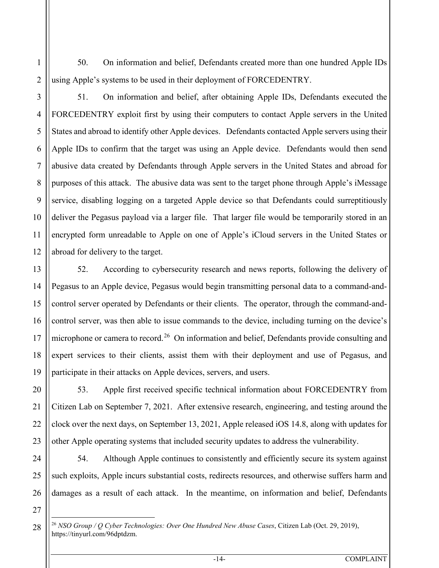50. On information and belief, Defendants created more than one hundred Apple IDs using Apple's systems to be used in their deployment of FORCEDENTRY.

1

2

3

4

5

6

7

8

9

10

11

12

13

14

15

16

17

18

19

20

21

22

23

24

25

<span id="page-13-0"></span>26

51. On information and belief, after obtaining Apple IDs, Defendants executed the FORCEDENTRY exploit first by using their computers to contact Apple servers in the United States and abroad to identify other Apple devices. Defendants contacted Apple servers using their Apple IDs to confirm that the target was using an Apple device. Defendants would then send abusive data created by Defendants through Apple servers in the United States and abroad for purposes of this attack. The abusive data was sent to the target phone through Apple's iMessage service, disabling logging on a targeted Apple device so that Defendants could surreptitiously deliver the Pegasus payload via a larger file. That larger file would be temporarily stored in an encrypted form unreadable to Apple on one of Apple's iCloud servers in the United States or abroad for delivery to the target.

52. According to cybersecurity research and news reports, following the delivery of Pegasus to an Apple device, Pegasus would begin transmitting personal data to a command-andcontrol server operated by Defendants or their clients. The operator, through the command-andcontrol server, was then able to issue commands to the device, including turning on the device's microphone or camera to record.<sup>[26](#page-13-0)</sup> On information and belief, Defendants provide consulting and expert services to their clients, assist them with their deployment and use of Pegasus, and participate in their attacks on Apple devices, servers, and users.

53. Apple first received specific technical information about FORCEDENTRY from Citizen Lab on September 7, 2021. After extensive research, engineering, and testing around the clock over the next days, on September 13, 2021, Apple released iOS 14.8, along with updates for other Apple operating systems that included security updates to address the vulnerability.

54. Although Apple continues to consistently and efficiently secure its system against such exploits, Apple incurs substantial costs, redirects resources, and otherwise suffers harm and damages as a result of each attack. In the meantime, on information and belief, Defendants

<sup>26</sup> *NSO Group / Q Cyber Technologies: Over One Hundred New Abuse Cases*, Citizen Lab (Oct. 29, 2019), https://tinyurl.com/96dptdzm.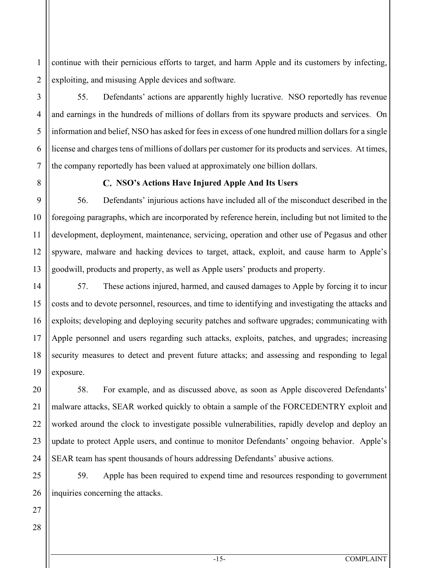1 2 continue with their pernicious efforts to target, and harm Apple and its customers by infecting, exploiting, and misusing Apple devices and software.

55. Defendants' actions are apparently highly lucrative. NSO reportedly has revenue and earnings in the hundreds of millions of dollars from its spyware products and services. On information and belief, NSO has asked for fees in excess of one hundred million dollars for a single license and charges tens of millions of dollars per customer for its products and services. At times, the company reportedly has been valued at approximately one billion dollars.

3

4

5

6

7

8

9

10

11

12

13

14

15

16

17

18

19

20

21

22

23

24

25

# **NSO's Actions Have Injured Apple And Its Users**

56. Defendants' injurious actions have included all of the misconduct described in the foregoing paragraphs, which are incorporated by reference herein, including but not limited to the development, deployment, maintenance, servicing, operation and other use of Pegasus and other spyware, malware and hacking devices to target, attack, exploit, and cause harm to Apple's goodwill, products and property, as well as Apple users' products and property.

57. These actions injured, harmed, and caused damages to Apple by forcing it to incur costs and to devote personnel, resources, and time to identifying and investigating the attacks and exploits; developing and deploying security patches and software upgrades; communicating with Apple personnel and users regarding such attacks, exploits, patches, and upgrades; increasing security measures to detect and prevent future attacks; and assessing and responding to legal exposure.

58. For example, and as discussed above, as soon as Apple discovered Defendants' malware attacks, SEAR worked quickly to obtain a sample of the FORCEDENTRY exploit and worked around the clock to investigate possible vulnerabilities, rapidly develop and deploy an update to protect Apple users, and continue to monitor Defendants' ongoing behavior. Apple's SEAR team has spent thousands of hours addressing Defendants' abusive actions.

59. Apple has been required to expend time and resources responding to government inquiries concerning the attacks.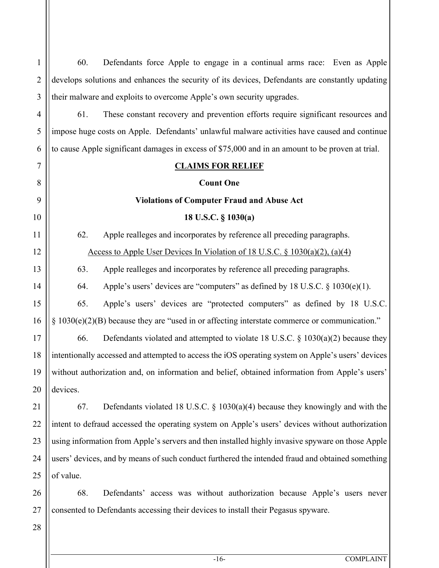| $\mathbf{1}$    | 60.                                                                                             | Defendants force Apple to engage in a continual arms race: Even as Apple                          |  |  |
|-----------------|-------------------------------------------------------------------------------------------------|---------------------------------------------------------------------------------------------------|--|--|
| $\overline{2}$  | develops solutions and enhances the security of its devices, Defendants are constantly updating |                                                                                                   |  |  |
| 3               | their malware and exploits to overcome Apple's own security upgrades.                           |                                                                                                   |  |  |
| 4               | 61.                                                                                             | These constant recovery and prevention efforts require significant resources and                  |  |  |
| 5               |                                                                                                 | impose huge costs on Apple. Defendants' unlawful malware activities have caused and continue      |  |  |
| 6               |                                                                                                 | to cause Apple significant damages in excess of \$75,000 and in an amount to be proven at trial.  |  |  |
| $\overline{7}$  |                                                                                                 | <b>CLAIMS FOR RELIEF</b>                                                                          |  |  |
| 8               |                                                                                                 | <b>Count One</b>                                                                                  |  |  |
| 9               | <b>Violations of Computer Fraud and Abuse Act</b>                                               |                                                                                                   |  |  |
| $\overline{10}$ |                                                                                                 | 18 U.S.C. § 1030(a)                                                                               |  |  |
| 11              | 62.                                                                                             | Apple realleges and incorporates by reference all preceding paragraphs.                           |  |  |
| $12 \,$         |                                                                                                 | Access to Apple User Devices In Violation of 18 U.S.C. $\S$ 1030(a)(2), (a)(4)                    |  |  |
| 13              | 63.                                                                                             | Apple realleges and incorporates by reference all preceding paragraphs.                           |  |  |
| $\overline{14}$ | 64.                                                                                             | Apple's users' devices are "computers" as defined by 18 U.S.C. $\S$ 1030(e)(1).                   |  |  |
| 15              | 65.                                                                                             | Apple's users' devices are "protected computers" as defined by 18 U.S.C.                          |  |  |
| 16              |                                                                                                 | $\S$ 1030(e)(2)(B) because they are "used in or affecting interstate commerce or communication."  |  |  |
| 17              | 66.                                                                                             | Defendants violated and attempted to violate 18 U.S.C. $\S$ 1030(a)(2) because they               |  |  |
| 18              |                                                                                                 | intentionally accessed and attempted to access the iOS operating system on Apple's users' devices |  |  |
| 19              |                                                                                                 | without authorization and, on information and belief, obtained information from Apple's users'    |  |  |
| $20 \,$         | devices.                                                                                        |                                                                                                   |  |  |
| 21              | 67.                                                                                             | Defendants violated 18 U.S.C. $\S$ 1030(a)(4) because they knowingly and with the                 |  |  |
| 22              | intent to defraud accessed the operating system on Apple's users' devices without authorization |                                                                                                   |  |  |
| 23              |                                                                                                 | using information from Apple's servers and then installed highly invasive spyware on those Apple  |  |  |
| 24              |                                                                                                 | users' devices, and by means of such conduct furthered the intended fraud and obtained something  |  |  |
| 25              | of value.                                                                                       |                                                                                                   |  |  |
| 26              | 68.                                                                                             | Defendants' access was without authorization because Apple's users never                          |  |  |
| 27              |                                                                                                 | consented to Defendants accessing their devices to install their Pegasus spyware.                 |  |  |
| 28              |                                                                                                 |                                                                                                   |  |  |

-16- COMPLAINT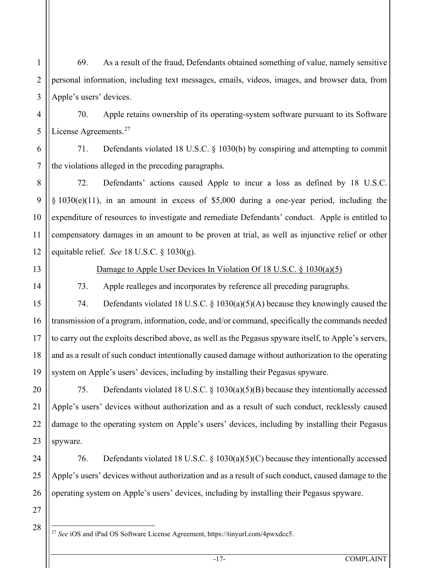69. As a result of the fraud, Defendants obtained something of value, namely sensitive personal information, including text messages, emails, videos, images, and browser data, from Apple's users' devices.

70. Apple retains ownership of its operating-system software pursuant to its Software License Agreements.<sup>[27](#page-16-0)</sup>

71. Defendants violated 18 U.S.C. § 1030(b) by conspiring and attempting to commit the violations alleged in the preceding paragraphs.

72. Defendants' actions caused Apple to incur a loss as defined by 18 U.S.C. § 1030(e)(11), in an amount in excess of \$5,000 during a one-year period, including the expenditure of resources to investigate and remediate Defendants' conduct. Apple is entitled to compensatory damages in an amount to be proven at trial, as well as injunctive relief or other equitable relief. *See* 18 U.S.C. § 1030(g).

1

2

3

4

5

6

7

8

9

10

11

12

13

14

15

16

17

18

19

21

24

25

26

#### Damage to Apple User Devices In Violation Of 18 U.S.C. § 1030(a)(5)

73. Apple realleges and incorporates by reference all preceding paragraphs.

74. Defendants violated 18 U.S.C. § 1030(a)(5)(A) because they knowingly caused the transmission of a program, information, code, and/or command, specifically the commands needed to carry out the exploits described above, as well as the Pegasus spyware itself, to Apple's servers, and as a result of such conduct intentionally caused damage without authorization to the operating system on Apple's users' devices, including by installing their Pegasus spyware.

20 22 23 75. Defendants violated 18 U.S.C. § 1030(a)(5)(B) because they intentionally accessed Apple's users' devices without authorization and as a result of such conduct, recklessly caused damage to the operating system on Apple's users' devices, including by installing their Pegasus spyware.

76. Defendants violated 18 U.S.C. § 1030(a)(5)(C) because they intentionally accessed Apple's users' devices without authorization and as a result of such conduct, caused damage to the operating system on Apple's users' devices, including by installing their Pegasus spyware.

<span id="page-16-0"></span>28

<sup>27</sup> *See* iOS and iPad OS Software License Agreement, https://tinyurl.com/4pwxdcc5.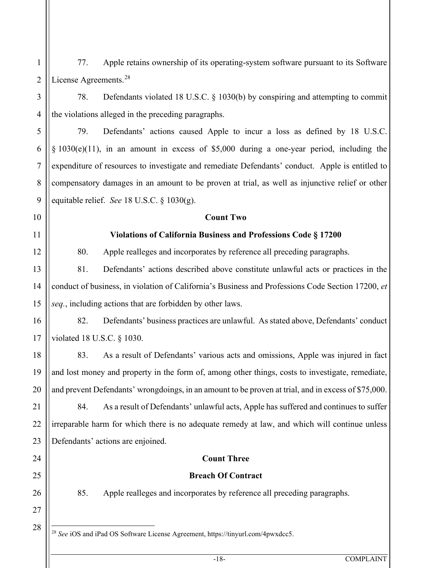1 2 77. Apple retains ownership of its operating-system software pursuant to its Software License Agreements.<sup>[28](#page-17-0)</sup>

78. Defendants violated 18 U.S.C. § 1030(b) by conspiring and attempting to commit the violations alleged in the preceding paragraphs.

79. Defendants' actions caused Apple to incur a loss as defined by 18 U.S.C. § 1030(e)(11), in an amount in excess of \$5,000 during a one-year period, including the expenditure of resources to investigate and remediate Defendants' conduct. Apple is entitled to compensatory damages in an amount to be proven at trial, as well as injunctive relief or other equitable relief. *See* 18 U.S.C. § 1030(g).

**Count Two**

# **Violations of California Business and Professions Code § 17200**

80. Apple realleges and incorporates by reference all preceding paragraphs.

81. Defendants' actions described above constitute unlawful acts or practices in the conduct of business, in violation of California's Business and Professions Code Section 17200, *et seq.*, including actions that are forbidden by other laws.

82. Defendants' business practices are unlawful. As stated above, Defendants' conduct violated 18 U.S.C. § 1030.

83. As a result of Defendants' various acts and omissions, Apple was injured in fact and lost money and property in the form of, among other things, costs to investigate, remediate, and prevent Defendants' wrongdoings, in an amount to be proven at trial, and in excess of \$75,000.

22 23 84. As a result of Defendants' unlawful acts, Apple has suffered and continues to suffer irreparable harm for which there is no adequate remedy at law, and which will continue unless Defendants' actions are enjoined.

# **Count Three**

#### **Breach Of Contract**

85. Apple realleges and incorporates by reference all preceding paragraphs.

<span id="page-17-0"></span><sup>28</sup> *See* iOS and iPad OS Software License Agreement, https://tinyurl.com/4pwxdcc5.

3

4

5

6

7

8

9

10

11

12

13

14

15

16

17

18

19

20

21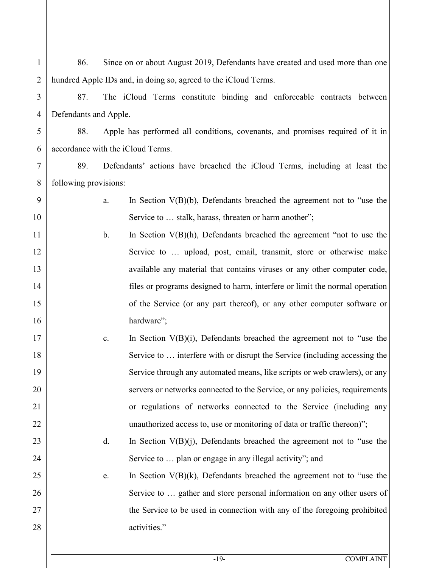| $\mathbf{1}$   | 86.                                                                                  | Since on or about August 2019, Defendants have created and used more than one |                                                                             |
|----------------|--------------------------------------------------------------------------------------|-------------------------------------------------------------------------------|-----------------------------------------------------------------------------|
| $\overline{2}$ | hundred Apple IDs and, in doing so, agreed to the iCloud Terms.                      |                                                                               |                                                                             |
| 3              | 87.                                                                                  | The iCloud Terms constitute binding and enforceable contracts between         |                                                                             |
| $\overline{4}$ | Defendants and Apple.                                                                |                                                                               |                                                                             |
| 5              | 88.<br>Apple has performed all conditions, covenants, and promises required of it in |                                                                               |                                                                             |
| 6              | accordance with the iCloud Terms.                                                    |                                                                               |                                                                             |
| 7              | 89.<br>Defendants' actions have breached the iCloud Terms, including at least the    |                                                                               |                                                                             |
| 8              | following provisions:                                                                |                                                                               |                                                                             |
| 9              |                                                                                      | a.                                                                            | In Section $V(B)(b)$ , Defendants breached the agreement not to "use the    |
| 10             |                                                                                      |                                                                               | Service to  stalk, harass, threaten or harm another";                       |
| 11             |                                                                                      | $\mathbf{b}$ .                                                                | In Section $V(B)(h)$ , Defendants breached the agreement "not to use the    |
| 12             | Service to  upload, post, email, transmit, store or otherwise make                   |                                                                               |                                                                             |
| 13             |                                                                                      |                                                                               | available any material that contains viruses or any other computer code,    |
| 14             |                                                                                      |                                                                               | files or programs designed to harm, interfere or limit the normal operation |
| 15             |                                                                                      |                                                                               | of the Service (or any part thereof), or any other computer software or     |
| 16             |                                                                                      |                                                                               | hardware";                                                                  |
| 17             |                                                                                      | c.                                                                            | In Section $V(B)(i)$ , Defendants breached the agreement not to "use the    |
| 18             |                                                                                      |                                                                               | Service to  interfere with or disrupt the Service (including accessing the  |
| 19             |                                                                                      |                                                                               | Service through any automated means, like scripts or web crawlers), or any  |
| 20             |                                                                                      |                                                                               | servers or networks connected to the Service, or any policies, requirements |
| 21             |                                                                                      |                                                                               | or regulations of networks connected to the Service (including any          |
| 22             |                                                                                      |                                                                               | unauthorized access to, use or monitoring of data or traffic thereon)";     |
| 23             |                                                                                      | d.                                                                            | In Section $V(B)(j)$ , Defendants breached the agreement not to "use the    |
| 24             |                                                                                      |                                                                               | Service to  plan or engage in any illegal activity"; and                    |
| 25             |                                                                                      | e.                                                                            | In Section $V(B)(k)$ , Defendants breached the agreement not to "use the    |
| 26             |                                                                                      |                                                                               | Service to  gather and store personal information on any other users of     |
| 27             |                                                                                      |                                                                               | the Service to be used in connection with any of the foregoing prohibited   |
| 28             |                                                                                      |                                                                               | activities."                                                                |
|                |                                                                                      |                                                                               |                                                                             |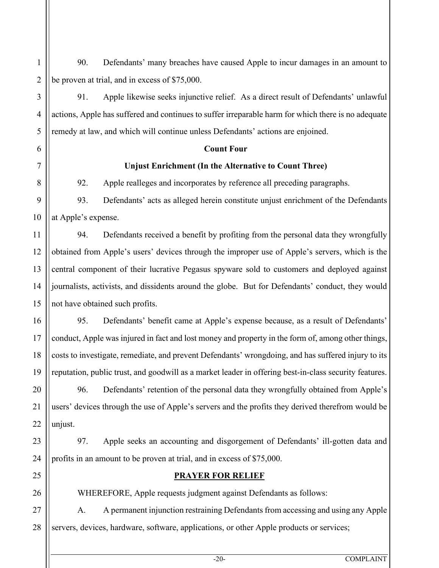90. Defendants' many breaches have caused Apple to incur damages in an amount to be proven at trial, and in excess of \$75,000.

91. Apple likewise seeks injunctive relief. As a direct result of Defendants' unlawful actions, Apple has suffered and continues to suffer irreparable harm for which there is no adequate remedy at law, and which will continue unless Defendants' actions are enjoined.

#### **Count Four**

#### **Unjust Enrichment (In the Alternative to Count Three)**

92. Apple realleges and incorporates by reference all preceding paragraphs.

93. Defendants' acts as alleged herein constitute unjust enrichment of the Defendants at Apple's expense.

94. Defendants received a benefit by profiting from the personal data they wrongfully obtained from Apple's users' devices through the improper use of Apple's servers, which is the central component of their lucrative Pegasus spyware sold to customers and deployed against journalists, activists, and dissidents around the globe. But for Defendants' conduct, they would not have obtained such profits.

95. Defendants' benefit came at Apple's expense because, as a result of Defendants' conduct, Apple was injured in fact and lost money and property in the form of, among other things, costs to investigate, remediate, and prevent Defendants' wrongdoing, and has suffered injury to its reputation, public trust, and goodwill as a market leader in offering best-in-class security features.

96. Defendants' retention of the personal data they wrongfully obtained from Apple's users' devices through the use of Apple's servers and the profits they derived therefrom would be unjust.

97. Apple seeks an accounting and disgorgement of Defendants' ill-gotten data and profits in an amount to be proven at trial, and in excess of \$75,000.

# **PRAYER FOR RELIEF**

WHEREFORE, Apple requests judgment against Defendants as follows:

A. A permanent injunction restraining Defendants from accessing and using any Apple servers, devices, hardware, software, applications, or other Apple products or services;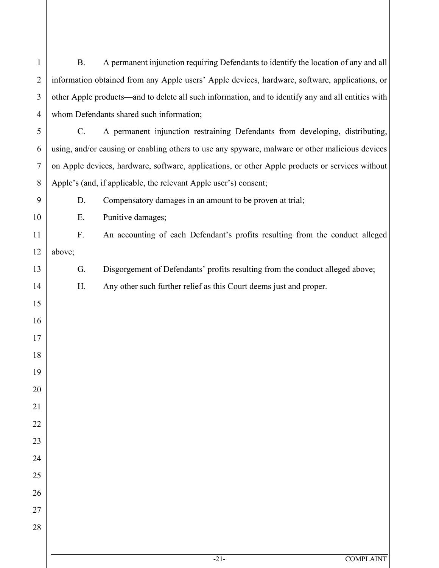| $\mathbf{1}$     | <b>B.</b>                                                                                          | A permanent injunction requiring Defendants to identify the location of any and all |  |
|------------------|----------------------------------------------------------------------------------------------------|-------------------------------------------------------------------------------------|--|
| $\overline{2}$   | information obtained from any Apple users' Apple devices, hardware, software, applications, or     |                                                                                     |  |
| 3                | other Apple products—and to delete all such information, and to identify any and all entities with |                                                                                     |  |
| $\overline{4}$   |                                                                                                    | whom Defendants shared such information;                                            |  |
| 5                | $\mathbf{C}$ .                                                                                     | A permanent injunction restraining Defendants from developing, distributing,        |  |
| 6                | using, and/or causing or enabling others to use any spyware, malware or other malicious devices    |                                                                                     |  |
| $\boldsymbol{7}$ | on Apple devices, hardware, software, applications, or other Apple products or services without    |                                                                                     |  |
| $8\,$            |                                                                                                    | Apple's (and, if applicable, the relevant Apple user's) consent;                    |  |
| 9                | D.                                                                                                 | Compensatory damages in an amount to be proven at trial;                            |  |
| 10               | Ε.                                                                                                 | Punitive damages;                                                                   |  |
| 11               | F.                                                                                                 | An accounting of each Defendant's profits resulting from the conduct alleged        |  |
| 12               | above;                                                                                             |                                                                                     |  |
| 13               | G.                                                                                                 | Disgorgement of Defendants' profits resulting from the conduct alleged above;       |  |
| 14               | H.                                                                                                 | Any other such further relief as this Court deems just and proper.                  |  |
| 15               |                                                                                                    |                                                                                     |  |
| 16               |                                                                                                    |                                                                                     |  |
| 17               |                                                                                                    |                                                                                     |  |
| 18               |                                                                                                    |                                                                                     |  |
| 19               |                                                                                                    |                                                                                     |  |
| 20               |                                                                                                    |                                                                                     |  |
| 21               |                                                                                                    |                                                                                     |  |
| 22               |                                                                                                    |                                                                                     |  |
| 23               |                                                                                                    |                                                                                     |  |
| 24               |                                                                                                    |                                                                                     |  |
| 25               |                                                                                                    |                                                                                     |  |
| 26               |                                                                                                    |                                                                                     |  |
| 27               |                                                                                                    |                                                                                     |  |
| 28               |                                                                                                    |                                                                                     |  |
|                  |                                                                                                    |                                                                                     |  |